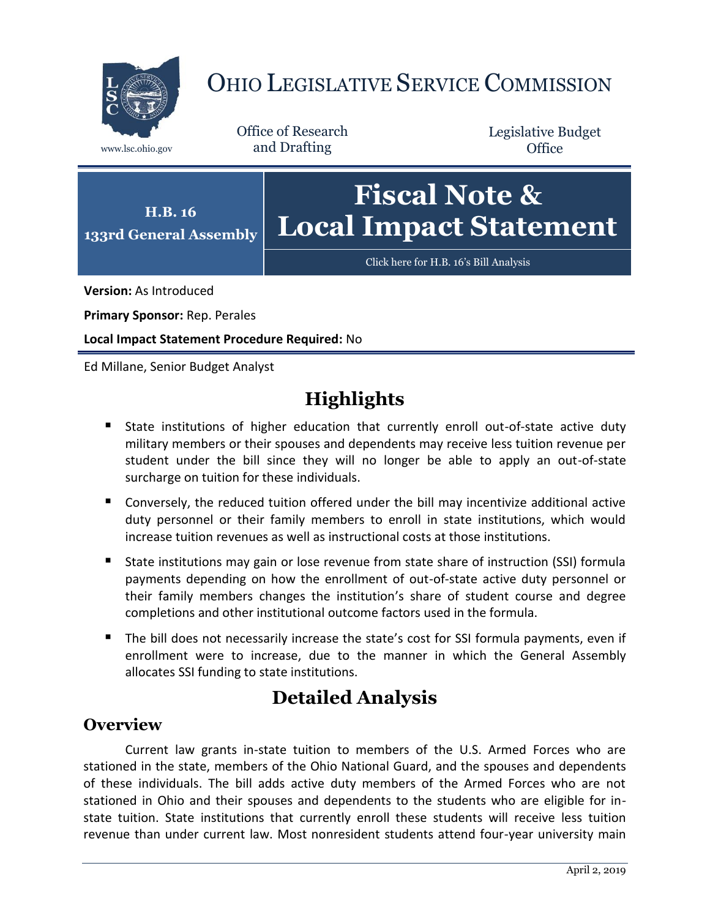

# OHIO LEGISLATIVE SERVICE COMMISSION

Office of Research www.lsc.ohio.gov and Drafting

Legislative Budget **Office** 

### **133rd General Assembly Fiscal Note & Local Impact Statement**

[Click here for H.B. 16](https://www.legislature.ohio.gov/legislation/legislation-documents?id=GA133-HB-16)'s Bill Analysis

**Version:** As Introduced

**Primary Sponsor:** Rep. Perales

**H.B. 16**

**Local Impact Statement Procedure Required:** No

Ed Millane, Senior Budget Analyst

## **Highlights**

- State institutions of higher education that currently enroll out-of-state active duty military members or their spouses and dependents may receive less tuition revenue per student under the bill since they will no longer be able to apply an out-of-state surcharge on tuition for these individuals.
- Conversely, the reduced tuition offered under the bill may incentivize additional active duty personnel or their family members to enroll in state institutions, which would increase tuition revenues as well as instructional costs at those institutions.
- State institutions may gain or lose revenue from state share of instruction (SSI) formula payments depending on how the enrollment of out-of-state active duty personnel or their family members changes the institution's share of student course and degree completions and other institutional outcome factors used in the formula.
- The bill does not necessarily increase the state's cost for SSI formula payments, even if enrollment were to increase, due to the manner in which the General Assembly allocates SSI funding to state institutions.

### **Detailed Analysis**

#### **Overview**

Current law grants in-state tuition to members of the U.S. Armed Forces who are stationed in the state, members of the Ohio National Guard, and the spouses and dependents of these individuals. The bill adds active duty members of the Armed Forces who are not stationed in Ohio and their spouses and dependents to the students who are eligible for instate tuition. State institutions that currently enroll these students will receive less tuition revenue than under current law. Most nonresident students attend four-year university main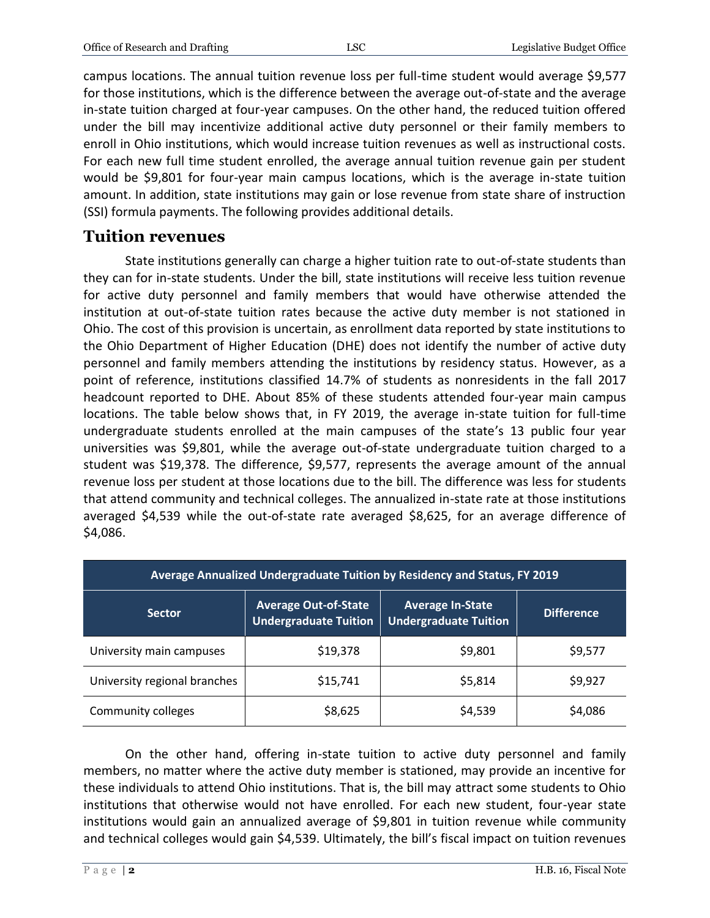campus locations. The annual tuition revenue loss per full-time student would average \$9,577 for those institutions, which is the difference between the average out-of-state and the average in-state tuition charged at four-year campuses. On the other hand, the reduced tuition offered under the bill may incentivize additional active duty personnel or their family members to enroll in Ohio institutions, which would increase tuition revenues as well as instructional costs. For each new full time student enrolled, the average annual tuition revenue gain per student would be \$9,801 for four-year main campus locations, which is the average in-state tuition amount. In addition, state institutions may gain or lose revenue from state share of instruction (SSI) formula payments. The following provides additional details.

#### **Tuition revenues**

State institutions generally can charge a higher tuition rate to out-of-state students than they can for in-state students. Under the bill, state institutions will receive less tuition revenue for active duty personnel and family members that would have otherwise attended the institution at out-of-state tuition rates because the active duty member is not stationed in Ohio. The cost of this provision is uncertain, as enrollment data reported by state institutions to the Ohio Department of Higher Education (DHE) does not identify the number of active duty personnel and family members attending the institutions by residency status. However, as a point of reference, institutions classified 14.7% of students as nonresidents in the fall 2017 headcount reported to DHE. About 85% of these students attended four-year main campus locations. The table below shows that, in FY 2019, the average in-state tuition for full-time undergraduate students enrolled at the main campuses of the state's 13 public four year universities was \$9,801, while the average out-of-state undergraduate tuition charged to a student was \$19,378. The difference, \$9,577, represents the average amount of the annual revenue loss per student at those locations due to the bill. The difference was less for students that attend community and technical colleges. The annualized in-state rate at those institutions averaged \$4,539 while the out-of-state rate averaged \$8,625, for an average difference of \$4,086.

| Average Annualized Undergraduate Tuition by Residency and Status, FY 2019 |                                                             |                                                         |            |
|---------------------------------------------------------------------------|-------------------------------------------------------------|---------------------------------------------------------|------------|
| <b>Sector</b>                                                             | <b>Average Out-of-State</b><br><b>Undergraduate Tuition</b> | <b>Average In-State</b><br><b>Undergraduate Tuition</b> | Difference |
| University main campuses                                                  | \$19,378                                                    | \$9,801                                                 | \$9,577    |
| University regional branches                                              | \$15,741                                                    | \$5,814                                                 | \$9,927    |
| Community colleges                                                        | \$8,625                                                     | \$4,539                                                 | \$4,086    |

On the other hand, offering in-state tuition to active duty personnel and family members, no matter where the active duty member is stationed, may provide an incentive for these individuals to attend Ohio institutions. That is, the bill may attract some students to Ohio institutions that otherwise would not have enrolled. For each new student, four-year state institutions would gain an annualized average of \$9,801 in tuition revenue while community and technical colleges would gain \$4,539. Ultimately, the bill's fiscal impact on tuition revenues